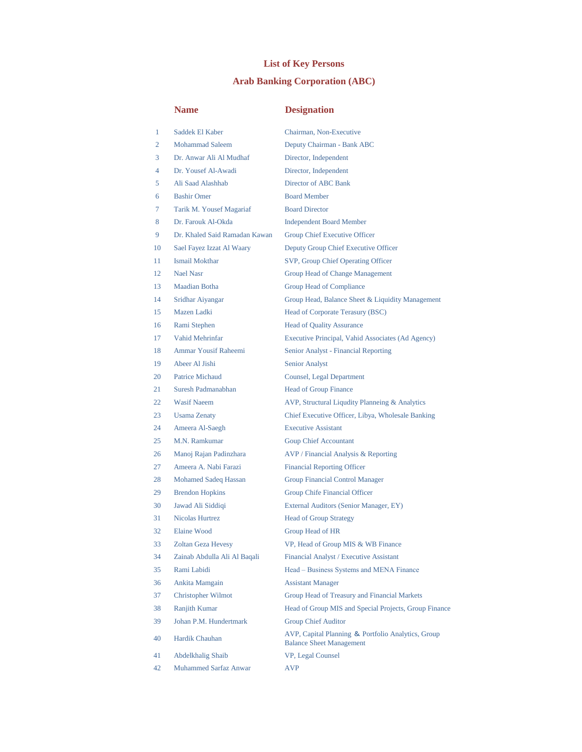## **List of Key Persons**

## **Arab Banking Corporation (ABC)**

## **Name Designation**

| 1  | Saddek El Kaber               | Chairman, Non-Executive                                                               |
|----|-------------------------------|---------------------------------------------------------------------------------------|
| 2  | <b>Mohammad Saleem</b>        | Deputy Chairman - Bank ABC                                                            |
| 3  | Dr. Anwar Ali Al Mudhaf       | Director, Independent                                                                 |
| 4  | Dr. Yousef Al-Awadi           | Director, Independent                                                                 |
| 5  | Ali Saad Alashhab             | Director of ABC Bank                                                                  |
| 6  | <b>Bashir Omer</b>            | <b>Board Member</b>                                                                   |
| 7  | Tarik M. Yousef Magariaf      | <b>Board Director</b>                                                                 |
| 8  | Dr. Farouk Al-Okda            | <b>Independent Board Member</b>                                                       |
| 9  | Dr. Khaled Said Ramadan Kawan | <b>Group Chief Executive Officer</b>                                                  |
| 10 | Sael Fayez Izzat Al Waary     | Deputy Group Chief Executive Officer                                                  |
| 11 | <b>Ismail Mokthar</b>         | SVP, Group Chief Operating Officer                                                    |
| 12 | <b>Nael Nasr</b>              | Group Head of Change Management                                                       |
| 13 | <b>Maadian Botha</b>          | Group Head of Compliance                                                              |
| 14 | Sridhar Aiyangar              | Group Head, Balance Sheet & Liquidity Management                                      |
| 15 | Mazen Ladki                   | Head of Corporate Terasury (BSC)                                                      |
| 16 | Rami Stephen                  | <b>Head of Quality Assurance</b>                                                      |
| 17 | <b>Vahid Mehrinfar</b>        | Executive Principal, Vahid Associates (Ad Agency)                                     |
| 18 | <b>Ammar Yousif Raheemi</b>   | Senior Analyst - Financial Reporting                                                  |
| 19 | Abeer Al Jishi                | <b>Senior Analyst</b>                                                                 |
| 20 | <b>Patrice Michaud</b>        | Counsel, Legal Department                                                             |
| 21 | Suresh Padmanabhan            | <b>Head of Group Finance</b>                                                          |
| 22 | <b>Wasif Naeem</b>            | AVP, Structural Liqudity Planneing & Analytics                                        |
| 23 | <b>Usama Zenaty</b>           | Chief Executive Officer, Libya, Wholesale Banking                                     |
| 24 | Ameera Al-Saegh               | <b>Executive Assistant</b>                                                            |
| 25 | M.N. Ramkumar                 | <b>Goup Chief Accountant</b>                                                          |
| 26 | Manoj Rajan Padinzhara        | AVP / Financial Analysis & Reporting                                                  |
| 27 | Ameera A. Nabi Farazi         | <b>Financial Reporting Officer</b>                                                    |
| 28 | Mohamed Sadeq Hassan          | <b>Group Financial Control Manager</b>                                                |
| 29 | <b>Brendon Hopkins</b>        | Group Chife Financial Officer                                                         |
| 30 | Jawad Ali Siddiqi             | External Auditors (Senior Manager, EY)                                                |
| 31 | Nicolas Hurtrez               | <b>Head of Group Strategy</b>                                                         |
| 32 | <b>Elaine Wood</b>            | Group Head of HR                                                                      |
| 33 | <b>Zoltan Geza Hevesy</b>     | VP, Head of Group MIS & WB Finance                                                    |
| 34 | Zainab Abdulla Ali Al Baqali  | Financial Analyst / Executive Assistant                                               |
| 35 | Rami Labidi                   | Head - Business Systems and MENA Finance                                              |
| 36 | Ankita Mamgain                | <b>Assistant Manager</b>                                                              |
| 37 | Christopher Wilmot            | Group Head of Treasury and Financial Markets                                          |
| 38 | Ranjith Kumar                 | Head of Group MIS and Special Projects, Group Finance                                 |
| 39 | Johan P.M. Hundertmark        | <b>Group Chief Auditor</b>                                                            |
| 40 | Hardik Chauhan                | AVP, Capital Planning & Portfolio Analytics, Group<br><b>Balance Sheet Management</b> |
| 41 | Abdelkhalig Shaib             | VP, Legal Counsel                                                                     |
| 42 | <b>Muhammed Sarfaz Anwar</b>  | <b>AVP</b>                                                                            |